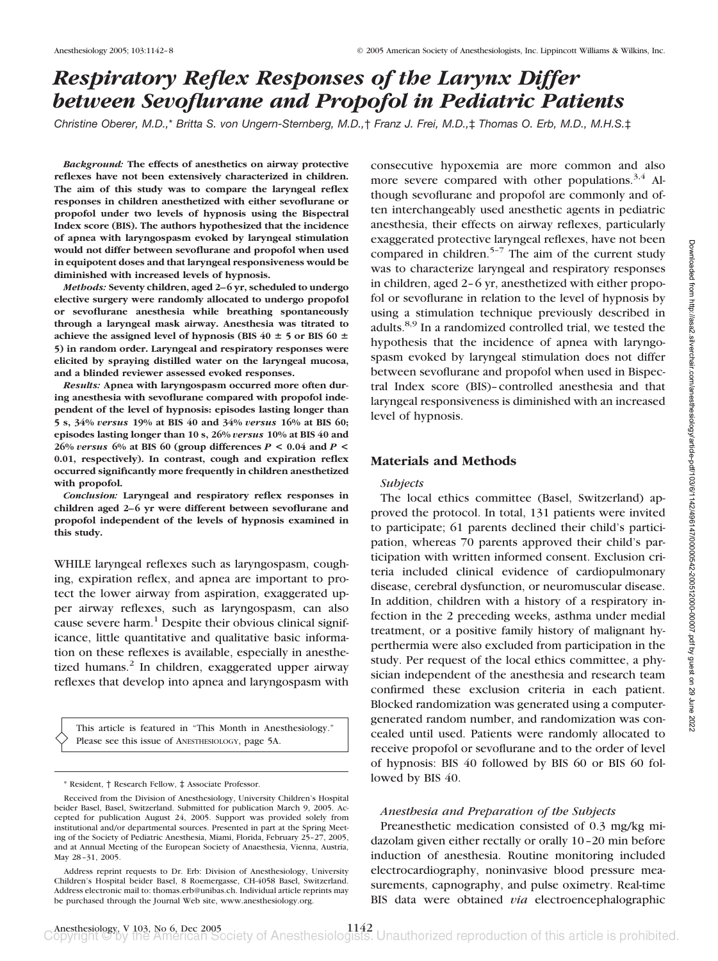# *Respiratory Reflex Responses of the Larynx Differ between Sevoflurane and Propofol in Pediatric Patients*

*Christine Oberer, M.D.,*\* *Britta S. von Ungern-Sternberg, M.D.,*† *Franz J. Frei, M.D.,*‡ *Thomas O. Erb, M.D., M.H.S.*‡

*Background:* **The effects of anesthetics on airway protective reflexes have not been extensively characterized in children. The aim of this study was to compare the laryngeal reflex responses in children anesthetized with either sevoflurane or propofol under two levels of hypnosis using the Bispectral Index score (BIS). The authors hypothesized that the incidence of apnea with laryngospasm evoked by laryngeal stimulation would not differ between sevoflurane and propofol when used in equipotent doses and that laryngeal responsiveness would be diminished with increased levels of hypnosis.**

*Methods:* **Seventy children, aged 2– 6 yr, scheduled to undergo elective surgery were randomly allocated to undergo propofol or sevoflurane anesthesia while breathing spontaneously through a laryngeal mask airway. Anesthesia was titrated to** achieve the assigned level of hypnosis (BIS  $40 \pm 5$  or BIS  $60 \pm 7$ **5) in random order. Laryngeal and respiratory responses were elicited by spraying distilled water on the laryngeal mucosa, and a blinded reviewer assessed evoked responses.**

*Results:* **Apnea with laryngospasm occurred more often during anesthesia with sevoflurane compared with propofol independent of the level of hypnosis: episodes lasting longer than 5 s, 34%** *versus* **19% at BIS 40 and 34%** *versus* **16% at BIS 60; episodes lasting longer than 10 s, 26%** *versus* **10% at BIS 40 and 26%** *versus* **6% at BIS 60 (group differences** *P* **< 0.04 and** *P* **< 0.01, respectively). In contrast, cough and expiration reflex occurred significantly more frequently in children anesthetized with propofol.**

*Conclusion:* **Laryngeal and respiratory reflex responses in** children aged 2–6 yr were different between sevoflurane and **propofol independent of the levels of hypnosis examined in this study.**

WHILE laryngeal reflexes such as laryngospasm, coughing, expiration reflex, and apnea are important to protect the lower airway from aspiration, exaggerated upper airway reflexes, such as laryngospasm, can also cause severe harm. $<sup>1</sup>$  Despite their obvious clinical signif-</sup> icance, little quantitative and qualitative basic information on these reflexes is available, especially in anesthetized humans.<sup>2</sup> In children, exaggerated upper airway reflexes that develop into apnea and laryngospasm with

This article is featured in "This Month in Anesthesiology." Please see this issue of ANESTHESIOLOGY, page 5A.

consecutive hypoxemia are more common and also more severe compared with other populations.<sup>3,4</sup> Although sevoflurane and propofol are commonly and often interchangeably used anesthetic agents in pediatric anesthesia, their effects on airway reflexes, particularly exaggerated protective laryngeal reflexes, have not been compared in children. $5-7$  The aim of the current study was to characterize laryngeal and respiratory responses in children, aged 2–6 yr, anesthetized with either propofol or sevoflurane in relation to the level of hypnosis by using a stimulation technique previously described in adults.<sup>8,9</sup> In a randomized controlled trial, we tested the hypothesis that the incidence of apnea with laryngospasm evoked by laryngeal stimulation does not differ between sevoflurane and propofol when used in Bispectral Index score (BIS)–controlled anesthesia and that laryngeal responsiveness is diminished with an increased level of hypnosis.

## **Materials and Methods**

### *Subjects*

The local ethics committee (Basel, Switzerland) approved the protocol. In total, 131 patients were invited to participate; 61 parents declined their child's participation, whereas 70 parents approved their child's participation with written informed consent. Exclusion criteria included clinical evidence of cardiopulmonary disease, cerebral dysfunction, or neuromuscular disease. In addition, children with a history of a respiratory infection in the 2 preceding weeks, asthma under medial treatment, or a positive family history of malignant hyperthermia were also excluded from participation in the study. Per request of the local ethics committee, a physician independent of the anesthesia and research team confirmed these exclusion criteria in each patient. Blocked randomization was generated using a computergenerated random number, and randomization was concealed until used. Patients were randomly allocated to receive propofol or sevoflurane and to the order of level of hypnosis: BIS 40 followed by BIS 60 or BIS 60 followed by BIS 40.

#### *Anesthesia and Preparation of the Subjects*

Preanesthetic medication consisted of 0.3 mg/kg midazolam given either rectally or orally 10–20 min before induction of anesthesia. Routine monitoring included electrocardiography, noninvasive blood pressure measurements, capnography, and pulse oximetry. Real-time BIS data were obtained *via* electroencephalographic

<sup>\*</sup> Resident, † Research Fellow, ‡ Associate Professor.

Received from the Division of Anesthesiology, University Children's Hospital beider Basel, Basel, Switzerland. Submitted for publication March 9, 2005. Accepted for publication August 24, 2005. Support was provided solely from institutional and/or departmental sources. Presented in part at the Spring Meeting of the Society of Pediatric Anesthesia, Miami, Florida, February 25–27, 2005, and at Annual Meeting of the European Society of Anaesthesia, Vienna, Austria, May 28–31, 2005.

Address reprint requests to Dr. Erb: Division of Anesthesiology, University Children's Hospital beider Basel, 8 Roemergasse, CH-4058 Basel, Switzerland. Address electronic mail to: thomas.erb@unibas.ch. Individual article reprints may be purchased through the Journal Web site, www.anesthesiology.org.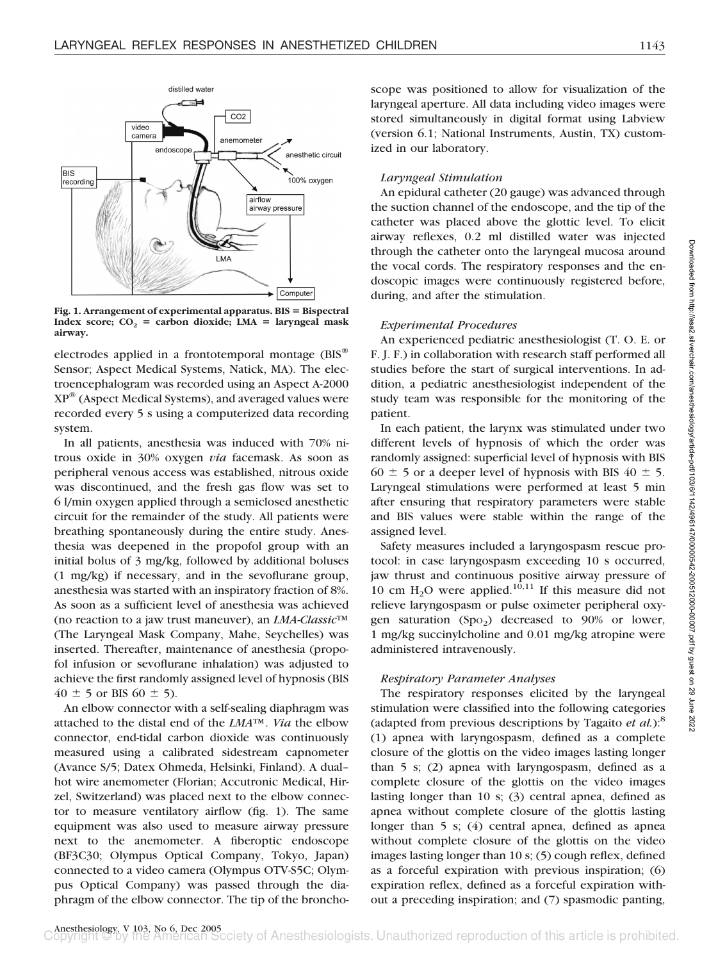

**Fig. 1. Arrangement of experimental apparatus. BIS** - **Bispectral Index score;**  $CO_2$  = carbon dioxide; LMA = laryngeal mask **airway.**

electrodes applied in a frontotemporal montage (BIS® Sensor; Aspect Medical Systems, Natick, MA). The electroencephalogram was recorded using an Aspect A-2000 XP® (Aspect Medical Systems), and averaged values were recorded every 5 s using a computerized data recording system.

In all patients, anesthesia was induced with 70% nitrous oxide in 30% oxygen *via* facemask. As soon as peripheral venous access was established, nitrous oxide was discontinued, and the fresh gas flow was set to 6 l/min oxygen applied through a semiclosed anesthetic circuit for the remainder of the study. All patients were breathing spontaneously during the entire study. Anesthesia was deepened in the propofol group with an initial bolus of 3 mg/kg, followed by additional boluses (1 mg/kg) if necessary, and in the sevoflurane group, anesthesia was started with an inspiratory fraction of 8%. As soon as a sufficient level of anesthesia was achieved (no reaction to a jaw trust maneuver), an *LMA-Classic*™ (The Laryngeal Mask Company, Mahe, Seychelles) was inserted. Thereafter, maintenance of anesthesia (propofol infusion or sevoflurane inhalation) was adjusted to achieve the first randomly assigned level of hypnosis (BIS  $40 \pm 5$  or BIS 60  $\pm 5$ ).

An elbow connector with a self-sealing diaphragm was attached to the distal end of the *LMA*™. *Via* the elbow connector, end-tidal carbon dioxide was continuously measured using a calibrated sidestream capnometer (Avance S/5; Datex Ohmeda, Helsinki, Finland). A dual– hot wire anemometer (Florian; Accutronic Medical, Hirzel, Switzerland) was placed next to the elbow connector to measure ventilatory airflow (fig. 1). The same equipment was also used to measure airway pressure next to the anemometer. A fiberoptic endoscope (BF3C30; Olympus Optical Company, Tokyo, Japan) connected to a video camera (Olympus OTV-S5C; Olympus Optical Company) was passed through the diaphragm of the elbow connector. The tip of the broncho-

scope was positioned to allow for visualization of the laryngeal aperture. All data including video images were stored simultaneously in digital format using Labview (version 6.1; National Instruments, Austin, TX) customized in our laboratory.

## *Laryngeal Stimulation*

An epidural catheter (20 gauge) was advanced through the suction channel of the endoscope, and the tip of the catheter was placed above the glottic level. To elicit airway reflexes, 0.2 ml distilled water was injected through the catheter onto the laryngeal mucosa around the vocal cords. The respiratory responses and the endoscopic images were continuously registered before, during, and after the stimulation.

#### *Experimental Procedures*

An experienced pediatric anesthesiologist (T. O. E. or F. J. F.) in collaboration with research staff performed all studies before the start of surgical interventions. In addition, a pediatric anesthesiologist independent of the study team was responsible for the monitoring of the patient.

In each patient, the larynx was stimulated under two different levels of hypnosis of which the order was randomly assigned: superficial level of hypnosis with BIS  $60 \pm 5$  or a deeper level of hypnosis with BIS  $40 \pm 5$ . Laryngeal stimulations were performed at least 5 min after ensuring that respiratory parameters were stable and BIS values were stable within the range of the assigned level.

Safety measures included a laryngospasm rescue protocol: in case laryngospasm exceeding 10 s occurred, jaw thrust and continuous positive airway pressure of 10 cm  $H_2O$  were applied.<sup>10,11</sup> If this measure did not relieve laryngospasm or pulse oximeter peripheral oxygen saturation  $(Spo<sub>2</sub>)$  decreased to 90% or lower, 1 mg/kg succinylcholine and 0.01 mg/kg atropine were administered intravenously.

### *Respiratory Parameter Analyses*

The respiratory responses elicited by the laryngeal stimulation were classified into the following categories (adapted from previous descriptions by Tagaito *et al.*):<sup>8</sup> (1) apnea with laryngospasm, defined as a complete closure of the glottis on the video images lasting longer than 5 s; (2) apnea with laryngospasm, defined as a complete closure of the glottis on the video images lasting longer than 10 s; (3) central apnea, defined as apnea without complete closure of the glottis lasting longer than 5 s; (4) central apnea, defined as apnea without complete closure of the glottis on the video images lasting longer than 10 s; (5) cough reflex, defined as a forceful expiration with previous inspiration; (6) expiration reflex, defined as a forceful expiration without a preceding inspiration; and (7) spasmodic panting,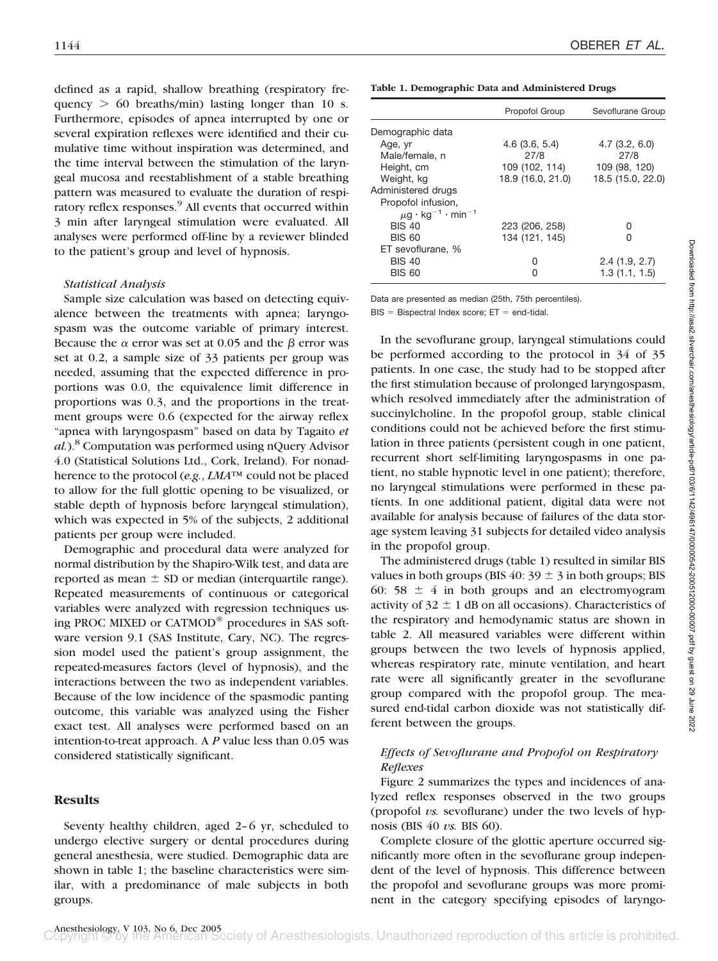defined as a rapid, shallow breathing (respiratory frequency  $> 60$  breaths/min) lasting longer than 10 s. Furthermore, episodes of apnea interrupted by one or several expiration reflexes were identified and their cumulative time without inspiration was determined, and the time interval between the stimulation of the laryngeal mucosa and reestablishment of a stable breathing pattern was measured to evaluate the duration of respiratory reflex responses.<sup>9</sup> All events that occurred within 3 min after laryngeal stimulation were evaluated. All analyses were performed off-line by a reviewer blinded to the patient's group and level of hypnosis.

#### *Statistical Analysis*

Sample size calculation was based on detecting equivalence between the treatments with apnea; laryngospasm was the outcome variable of primary interest. Because the  $\alpha$  error was set at 0.05 and the  $\beta$  error was set at 0.2, a sample size of 33 patients per group was needed, assuming that the expected difference in proportions was 0.0, the equivalence limit difference in proportions was 0.3, and the proportions in the treatment groups were 0.6 (expected for the airway reflex "apnea with laryngospasm" based on data by Tagaito *et al.*).8 Computation was performed using nQuery Advisor 4.0 (Statistical Solutions Ltd., Cork, Ireland). For nonadherence to the protocol (*e.g.*, *LMA*™ could not be placed to allow for the full glottic opening to be visualized, or stable depth of hypnosis before laryngeal stimulation), which was expected in 5% of the subjects, 2 additional patients per group were included.

Demographic and procedural data were analyzed for normal distribution by the Shapiro-Wilk test, and data are reported as mean  $\pm$  SD or median (interquartile range). Repeated measurements of continuous or categorical variables were analyzed with regression techniques using PROC MIXED or CATMOD® procedures in SAS software version 9.1 (SAS Institute, Cary, NC). The regression model used the patient's group assignment, the repeated-measures factors (level of hypnosis), and the interactions between the two as independent variables. Because of the low incidence of the spasmodic panting outcome, this variable was analyzed using the Fisher exact test. All analyses were performed based on an intention-to-treat approach. A *P* value less than 0.05 was considered statistically significant.

## **Results**

Seventy healthy children, aged 2–6 yr, scheduled to undergo elective surgery or dental procedures during general anesthesia, were studied. Demographic data are shown in table 1; the baseline characteristics were similar, with a predominance of male subjects in both groups.

| Table 1. Demographic Data and Administered Drugs |  |  |  |  |  |  |  |
|--------------------------------------------------|--|--|--|--|--|--|--|
|--------------------------------------------------|--|--|--|--|--|--|--|

|                                                | Propofol Group    | Sevoflurane Group |  |
|------------------------------------------------|-------------------|-------------------|--|
| Demographic data                               |                   |                   |  |
| Age, yr                                        | 4.6(3.6, 5.4)     | $4.7$ (3.2, 6.0)  |  |
| Male/female, n                                 | 27/8              | 27/8              |  |
| Height, cm                                     | 109 (102, 114)    | 109 (98, 120)     |  |
| Weight, kg                                     | 18.9 (16.0, 21.0) | 18.5 (15.0, 22.0) |  |
| Administered drugs                             |                   |                   |  |
| Propofol infusion,                             |                   |                   |  |
| $\mu$ g · kg <sup>-1</sup> · min <sup>-1</sup> |                   |                   |  |
| <b>BIS 40</b>                                  | 223 (206, 258)    | O                 |  |
| <b>BIS 60</b>                                  | 134 (121, 145)    | Ω                 |  |
| ET sevoflurane, %                              |                   |                   |  |
| <b>BIS 40</b>                                  | O                 | 2.4(1.9, 2.7)     |  |
| <b>BIS 60</b>                                  |                   | 1.3(1.1, 1.5)     |  |
|                                                |                   |                   |  |

Data are presented as median (25th, 75th percentiles).

 $BIS = Bispectral Index score; ET = end-tidal.$ 

In the sevoflurane group, laryngeal stimulations could be performed according to the protocol in 34 of 35 patients. In one case, the study had to be stopped after the first stimulation because of prolonged laryngospasm, which resolved immediately after the administration of succinylcholine. In the propofol group, stable clinical conditions could not be achieved before the first stimulation in three patients (persistent cough in one patient, recurrent short self-limiting laryngospasms in one patient, no stable hypnotic level in one patient); therefore, no laryngeal stimulations were performed in these patients. In one additional patient, digital data were not available for analysis because of failures of the data storage system leaving 31 subjects for detailed video analysis in the propofol group.

The administered drugs (table 1) resulted in similar BIS values in both groups (BIS 40:  $39 \pm 3$  in both groups; BIS 60: 58  $\pm$  4 in both groups and an electromyogram activity of  $32 \pm 1$  dB on all occasions). Characteristics of the respiratory and hemodynamic status are shown in table 2. All measured variables were different within groups between the two levels of hypnosis applied, whereas respiratory rate, minute ventilation, and heart rate were all significantly greater in the sevoflurane group compared with the propofol group. The measured end-tidal carbon dioxide was not statistically different between the groups.

## *Effects of Sevoflurane and Propofol on Respiratory Reflexes*

Figure 2 summarizes the types and incidences of analyzed reflex responses observed in the two groups (propofol *vs.* sevoflurane) under the two levels of hypnosis (BIS 40 *vs.* BIS 60).

Complete closure of the glottic aperture occurred significantly more often in the sevoflurane group independent of the level of hypnosis. This difference between the propofol and sevoflurane groups was more prominent in the category specifying episodes of laryngo-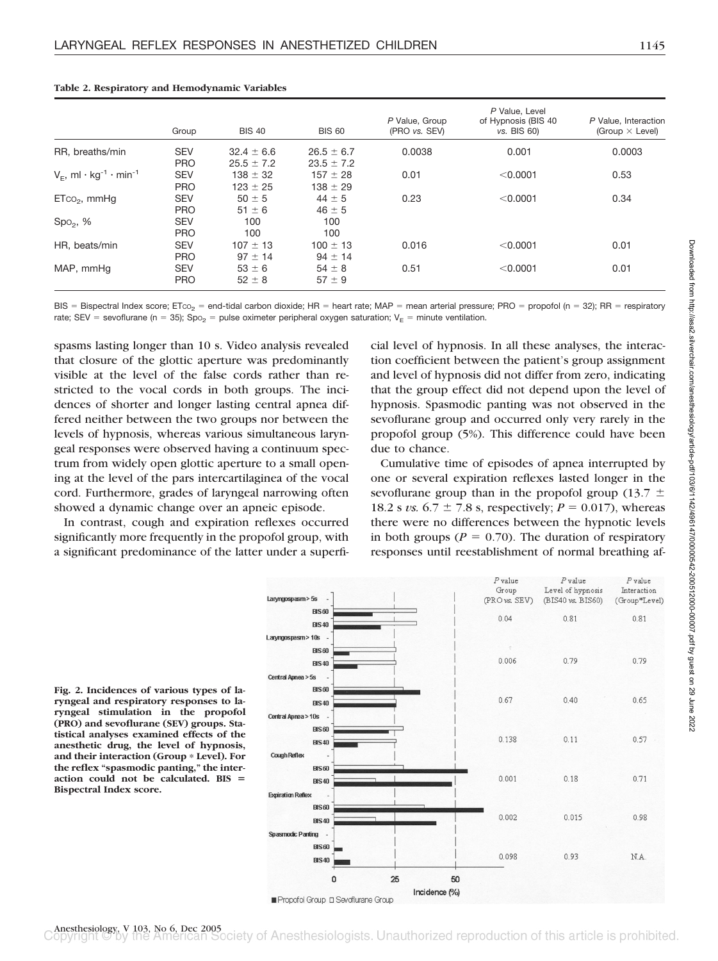| Group      | <b>BIS 40</b>  | <b>BIS 60</b>  | P Value, Group<br>(PRO vs. SEV) | P Value, Level<br>of Hypnosis (BIS 40<br>vs. BIS 60) | P Value, Interaction<br>(Group $\times$ Level) |
|------------|----------------|----------------|---------------------------------|------------------------------------------------------|------------------------------------------------|
| <b>SEV</b> | $32.4 \pm 6.6$ | $26.5 \pm 6.7$ | 0.0038                          | 0.001                                                | 0.0003                                         |
| <b>PRO</b> | $25.5 \pm 7.2$ | $23.5 \pm 7.2$ |                                 |                                                      |                                                |
| <b>SEV</b> | $138 \pm 32$   | $157 \pm 28$   | 0.01                            | < 0.0001                                             | 0.53                                           |
| <b>PRO</b> | $123 \pm 25$   | $138 \pm 29$   |                                 |                                                      |                                                |
| <b>SEV</b> | $50 \pm 5$     | $44 \pm 5$     | 0.23                            | < 0.0001                                             | 0.34                                           |
| <b>PRO</b> | $51 \pm 6$     | $46 \pm 5$     |                                 |                                                      |                                                |
| <b>SEV</b> | 100            | 100            |                                 |                                                      |                                                |
| <b>PRO</b> | 100            | 100            |                                 |                                                      |                                                |
| <b>SEV</b> | $107 \pm 13$   | $100 \pm 13$   | 0.016                           | < 0.0001                                             | 0.01                                           |
| <b>PRO</b> | $97 \pm 14$    | $94 \pm 14$    |                                 |                                                      |                                                |
| <b>SEV</b> | $53 \pm 6$     | $54 \pm 8$     | 0.51                            | < 0.0001                                             | 0.01                                           |
| <b>PRO</b> | $52 \pm 8$     | $57 \pm 9$     |                                 |                                                      |                                                |
|            |                |                |                                 |                                                      |                                                |

#### **Table 2. Respiratory and Hemodynamic Variables**

BIS = Bispectral Index score; ETco<sub>2</sub> = end-tidal carbon dioxide; HR = heart rate; MAP = mean arterial pressure; PRO = propofol (n = 32); RR = respiratory rate; SEV = sevoflurane (n = 35); Spo<sub>2</sub> = pulse oximeter peripheral oxygen saturation; V<sub>E</sub> = minute ventilation.

spasms lasting longer than 10 s. Video analysis revealed that closure of the glottic aperture was predominantly visible at the level of the false cords rather than restricted to the vocal cords in both groups. The incidences of shorter and longer lasting central apnea differed neither between the two groups nor between the levels of hypnosis, whereas various simultaneous laryngeal responses were observed having a continuum spectrum from widely open glottic aperture to a small opening at the level of the pars intercartilaginea of the vocal cord. Furthermore, grades of laryngeal narrowing often showed a dynamic change over an apneic episode.

In contrast, cough and expiration reflexes occurred significantly more frequently in the propofol group, with a significant predominance of the latter under a superficial level of hypnosis. In all these analyses, the interaction coefficient between the patient's group assignment and level of hypnosis did not differ from zero, indicating that the group effect did not depend upon the level of hypnosis. Spasmodic panting was not observed in the sevoflurane group and occurred only very rarely in the propofol group (5%). This difference could have been due to chance.

Cumulative time of episodes of apnea interrupted by one or several expiration reflexes lasted longer in the sevoflurane group than in the propofol group (13.7  $\pm$ 18.2 s *vs.*  $6.7 \pm 7.8$  s, respectively;  $P = 0.017$ ), whereas there were no differences between the hypnotic levels in both groups ( $P = 0.70$ ). The duration of respiratory responses until reestablishment of normal breathing af-



**Fig. 2. Incidences of various types of laryngeal and respiratory responses to laryngeal stimulation in the propofol (PRO) and sevoflurane (SEV) groups. Statistical analyses examined effects of the anesthetic drug, the level of hypnosis,** and their interaction (Group \* Level). For **the reflex "spasmodic panting," the interaction could not be calculated. BIS** - **Bispectral Index score.**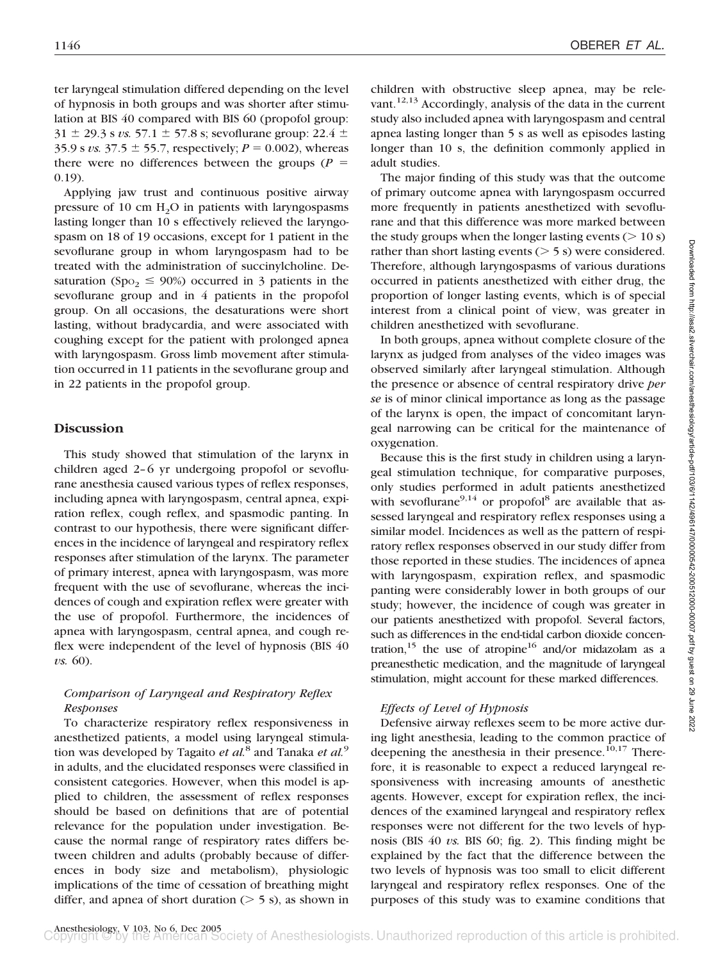ter laryngeal stimulation differed depending on the level of hypnosis in both groups and was shorter after stimulation at BIS 40 compared with BIS 60 (propofol group:  $31 \pm 29.3$  s *vs.* 57.1  $\pm$  57.8 s; sevoflurane group: 22.4  $\pm$ 35.9 s *vs.* 37.5  $\pm$  55.7, respectively; *P* = 0.002), whereas there were no differences between the groups  $(P =$ 0.19).

Applying jaw trust and continuous positive airway pressure of 10 cm  $H_2O$  in patients with laryngospasms lasting longer than 10 s effectively relieved the laryngospasm on 18 of 19 occasions, except for 1 patient in the sevoflurane group in whom laryngospasm had to be treated with the administration of succinylcholine. Desaturation (Spo<sub>2</sub>  $\leq$  90%) occurred in 3 patients in the sevoflurane group and in 4 patients in the propofol group. On all occasions, the desaturations were short lasting, without bradycardia, and were associated with coughing except for the patient with prolonged apnea with laryngospasm. Gross limb movement after stimulation occurred in 11 patients in the sevoflurane group and in 22 patients in the propofol group.

# **Discussion**

This study showed that stimulation of the larynx in children aged 2–6 yr undergoing propofol or sevoflurane anesthesia caused various types of reflex responses, including apnea with laryngospasm, central apnea, expiration reflex, cough reflex, and spasmodic panting. In contrast to our hypothesis, there were significant differences in the incidence of laryngeal and respiratory reflex responses after stimulation of the larynx. The parameter of primary interest, apnea with laryngospasm, was more frequent with the use of sevoflurane, whereas the incidences of cough and expiration reflex were greater with the use of propofol. Furthermore, the incidences of apnea with laryngospasm, central apnea, and cough reflex were independent of the level of hypnosis (BIS 40 *vs.* 60).

# *Comparison of Laryngeal and Respiratory Reflex Responses*

To characterize respiratory reflex responsiveness in anesthetized patients, a model using laryngeal stimulation was developed by Tagaito *et al.*<sup>8</sup> and Tanaka *et al.*<sup>9</sup> in adults, and the elucidated responses were classified in consistent categories. However, when this model is applied to children, the assessment of reflex responses should be based on definitions that are of potential relevance for the population under investigation. Because the normal range of respiratory rates differs between children and adults (probably because of differences in body size and metabolism), physiologic implications of the time of cessation of breathing might differ, and apnea of short duration  $($  > 5 s), as shown in

children with obstructive sleep apnea, may be relevant.<sup>12,13</sup> Accordingly, analysis of the data in the current study also included apnea with laryngospasm and central apnea lasting longer than 5 s as well as episodes lasting longer than 10 s, the definition commonly applied in adult studies.

The major finding of this study was that the outcome of primary outcome apnea with laryngospasm occurred more frequently in patients anesthetized with sevoflurane and that this difference was more marked between the study groups when the longer lasting events  $($  > 10 s) rather than short lasting events  $($  > 5 s) were considered. Therefore, although laryngospasms of various durations occurred in patients anesthetized with either drug, the proportion of longer lasting events, which is of special interest from a clinical point of view, was greater in children anesthetized with sevoflurane.

In both groups, apnea without complete closure of the larynx as judged from analyses of the video images was observed similarly after laryngeal stimulation. Although the presence or absence of central respiratory drive *per se* is of minor clinical importance as long as the passage of the larynx is open, the impact of concomitant laryngeal narrowing can be critical for the maintenance of oxygenation.

Because this is the first study in children using a laryngeal stimulation technique, for comparative purposes, only studies performed in adult patients anesthetized with sevoflurane<sup>9,14</sup> or propofol<sup>8</sup> are available that assessed laryngeal and respiratory reflex responses using a similar model. Incidences as well as the pattern of respiratory reflex responses observed in our study differ from those reported in these studies. The incidences of apnea with laryngospasm, expiration reflex, and spasmodic panting were considerably lower in both groups of our study; however, the incidence of cough was greater in our patients anesthetized with propofol. Several factors, such as differences in the end-tidal carbon dioxide concentration,  $15$  the use of atropine  $16$  and/or midazolam as a preanesthetic medication, and the magnitude of laryngeal stimulation, might account for these marked differences.

# *Effects of Level of Hypnosis*

Defensive airway reflexes seem to be more active during light anesthesia, leading to the common practice of deepening the anesthesia in their presence. $10,17$  Therefore, it is reasonable to expect a reduced laryngeal responsiveness with increasing amounts of anesthetic agents. However, except for expiration reflex, the incidences of the examined laryngeal and respiratory reflex responses were not different for the two levels of hypnosis (BIS 40 *vs.* BIS 60; fig. 2). This finding might be explained by the fact that the difference between the two levels of hypnosis was too small to elicit different laryngeal and respiratory reflex responses. One of the purposes of this study was to examine conditions that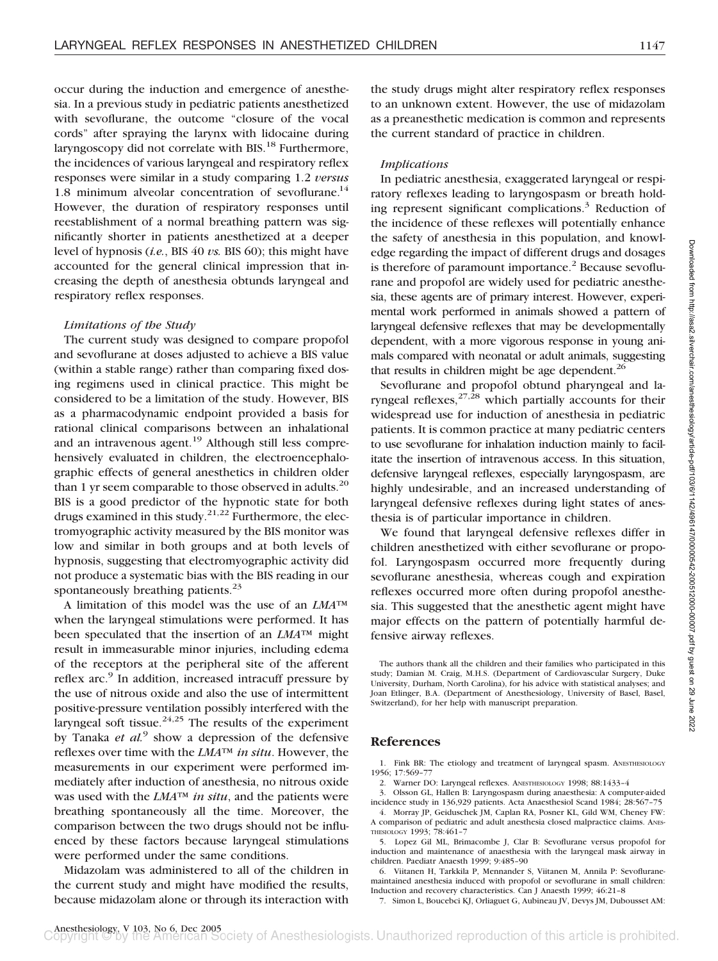occur during the induction and emergence of anesthesia. In a previous study in pediatric patients anesthetized with sevoflurane, the outcome "closure of the vocal cords" after spraying the larynx with lidocaine during laryngoscopy did not correlate with BIS.<sup>18</sup> Furthermore, the incidences of various laryngeal and respiratory reflex responses were similar in a study comparing 1.2 *versus* 1.8 minimum alveolar concentration of sevoflurane. $14$ However, the duration of respiratory responses until reestablishment of a normal breathing pattern was significantly shorter in patients anesthetized at a deeper level of hypnosis (*i.e.*, BIS 40 *vs.* BIS 60); this might have accounted for the general clinical impression that increasing the depth of anesthesia obtunds laryngeal and respiratory reflex responses.

### *Limitations of the Study*

The current study was designed to compare propofol and sevoflurane at doses adjusted to achieve a BIS value (within a stable range) rather than comparing fixed dosing regimens used in clinical practice. This might be considered to be a limitation of the study. However, BIS as a pharmacodynamic endpoint provided a basis for rational clinical comparisons between an inhalational and an intravenous agent.<sup>19</sup> Although still less comprehensively evaluated in children, the electroencephalographic effects of general anesthetics in children older than 1 yr seem comparable to those observed in adults.<sup>20</sup> BIS is a good predictor of the hypnotic state for both drugs examined in this study.<sup>21,22</sup> Furthermore, the electromyographic activity measured by the BIS monitor was low and similar in both groups and at both levels of hypnosis, suggesting that electromyographic activity did not produce a systematic bias with the BIS reading in our spontaneously breathing patients.<sup>23</sup>

A limitation of this model was the use of an *LMA*™ when the laryngeal stimulations were performed. It has been speculated that the insertion of an *LMA*™ might result in immeasurable minor injuries, including edema of the receptors at the peripheral site of the afferent reflex arc.<sup>9</sup> In addition, increased intracuff pressure by the use of nitrous oxide and also the use of intermittent positive-pressure ventilation possibly interfered with the laryngeal soft tissue. $24,25$  The results of the experiment by Tanaka *et al.*<sup>9</sup> show a depression of the defensive reflexes over time with the *LMA*™ *in situ*. However, the measurements in our experiment were performed immediately after induction of anesthesia, no nitrous oxide was used with the *LMA*™ *in situ*, and the patients were breathing spontaneously all the time. Moreover, the comparison between the two drugs should not be influenced by these factors because laryngeal stimulations were performed under the same conditions.

Midazolam was administered to all of the children in the current study and might have modified the results, because midazolam alone or through its interaction with the study drugs might alter respiratory reflex responses to an unknown extent. However, the use of midazolam as a preanesthetic medication is common and represents the current standard of practice in children.

## *Implications*

In pediatric anesthesia, exaggerated laryngeal or respiratory reflexes leading to laryngospasm or breath holding represent significant complications.<sup>3</sup> Reduction of the incidence of these reflexes will potentially enhance the safety of anesthesia in this population, and knowledge regarding the impact of different drugs and dosages is therefore of paramount importance.<sup>2</sup> Because sevoflurane and propofol are widely used for pediatric anesthesia, these agents are of primary interest. However, experimental work performed in animals showed a pattern of laryngeal defensive reflexes that may be developmentally dependent, with a more vigorous response in young animals compared with neonatal or adult animals, suggesting that results in children might be age dependent. $^{26}$ 

Sevoflurane and propofol obtund pharyngeal and laryngeal reflexes,  $27,28$  which partially accounts for their widespread use for induction of anesthesia in pediatric patients. It is common practice at many pediatric centers to use sevoflurane for inhalation induction mainly to facilitate the insertion of intravenous access. In this situation, defensive laryngeal reflexes, especially laryngospasm, are highly undesirable, and an increased understanding of laryngeal defensive reflexes during light states of anesthesia is of particular importance in children.

We found that laryngeal defensive reflexes differ in children anesthetized with either sevoflurane or propofol. Laryngospasm occurred more frequently during sevoflurane anesthesia, whereas cough and expiration reflexes occurred more often during propofol anesthesia. This suggested that the anesthetic agent might have major effects on the pattern of potentially harmful defensive airway reflexes.

The authors thank all the children and their families who participated in this study; Damian M. Craig, M.H.S. (Department of Cardiovascular Surgery, Duke University, Durham, North Carolina), for his advice with statistical analyses; and Joan Etlinger, B.A. (Department of Anesthesiology, University of Basel, Basel, Switzerland), for her help with manuscript preparation.

## **References**

1. Fink BR: The etiology and treatment of laryngeal spasm. ANESTHESIOLOGY 1956; 17:569–77

2. Warner DO: Laryngeal reflexes. ANESTHESIOLOGY 1998; 88:1433–4

3. Olsson GL, Hallen B: Laryngospasm during anaesthesia: A computer-aided incidence study in 136,929 patients. Acta Anaesthesiol Scand 1984; 28:567–75 4. Morray JP, Geiduschek JM, Caplan RA, Posner KL, Gild WM, Cheney FW:

A comparison of pediatric and adult anesthesia closed malpractice claims. ANES-THESIOLOGY 1993; 78:461–7

5. Lopez Gil ML, Brimacombe J, Clar B: Sevoflurane versus propofol for induction and maintenance of anaesthesia with the laryngeal mask airway in children. Paediatr Anaesth 1999; 9:485–90

6. Viitanen H, Tarkkila P, Mennander S, Viitanen M, Annila P: Sevofluranemaintained anesthesia induced with propofol or sevoflurane in small children: Induction and recovery characteristics. Can J Anaesth 1999; 46:21–8

7. Simon L, Boucebci KJ, Orliaguet G, Aubineau JV, Devys JM, Dubousset AM: